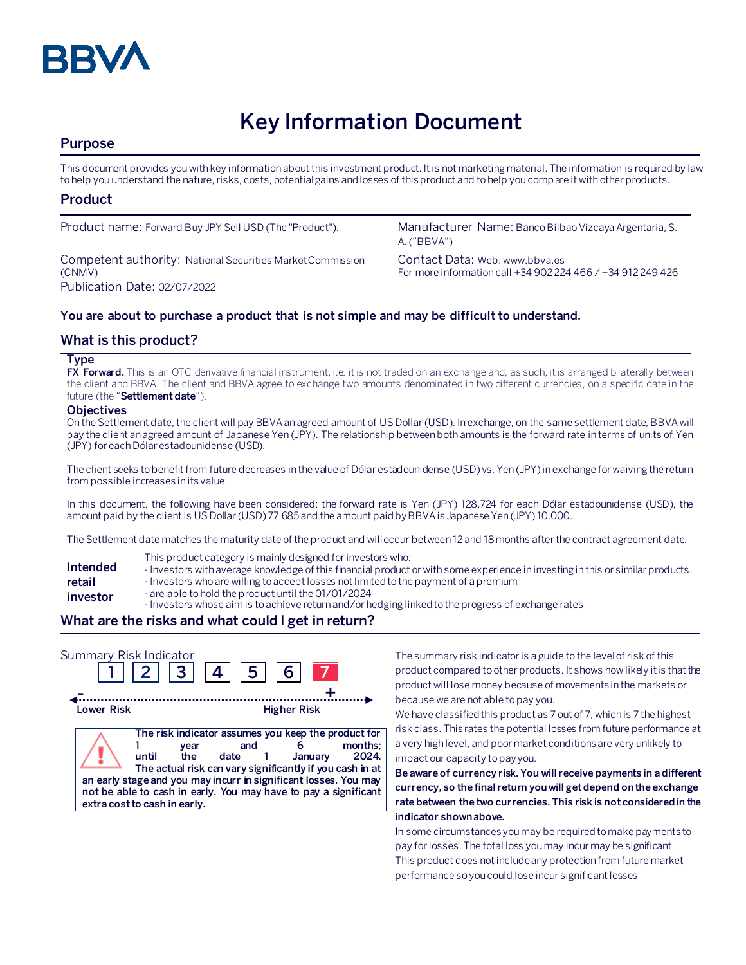

# **Key Information Document**

# **Purpose**

This document provides you with key information about this investment product. It is not marketing material. The information is required by law to help you understand the nature, risks, costs, potential gains and losses of this product and to help you compare it with other products.

# **Product**

Competent authority: National Securities Market Commission (CNMV) Publication Date: 02/07/2022

Product name: Forward Buy JPY Sell USD (The "Product"). Manufacturer Name: Banco Bilbao Vizcaya Argentaria, S. A. ("BBVA")

> Contact Data: Web: www.bbva.es For more information call +34 902 224 466 / +34 912 249 426

## **You are about to purchase a product that is not simple and may be difficult to understand.**

# **What is this product?**

#### **Type**

**FX Forward.** This is an OTC derivative financial instrument, i.e. it is not traded on an exchange and, as such, it is arranged bilaterally between the client and BBVA. The client and BBVA agree to exchange two amounts denominated in two different currencies, on a specific date in the future (the "**Settlement date**").

#### **Objectives**

On the Settlement date, the client will pay BBVA an agreed amount of US Dollar(USD). In exchange, on the same settlement date, BBVA will pay the client an agreed amount of Japanese Yen (JPY). The relationship between both amounts is the forward rate in terms of units of Yen (JPY) for each Dólar estadounidense (USD).

The client seeks to benefit from future decreases in the value of Dólar estadounidense (USD) vs. Yen (JPY) in exchange for waiving the return from possible increases in its value.

In this document, the following have been considered: the forward rate is Yen (JPY) 128.724 for each Dólar estadounidense (USD), the amount paid by the client is US Dollar(USD) 77.685 and the amount paidby BBVA is Japanese Yen (JPY) 10,000.

The Settlement date matches the maturity date of the product and will occur between 12 and 18 months after the contract agreement date.

- This product category is mainly designed for investors who:
- **Intended**  - Investors with average knowledge of this financial product or with some experience in investing in this or similar products.
- **retail**  - Investors who are willing to accept losses not limited to the payment of a premium
- **investor** - are able to hold the product until the 01/01/2024
	- Investors whose aim is to achieve return and/or hedging linked to the progress of exchange rates

# **What are the risks and what could I get in return?**

| Summary Risk Indicator | 3  4                                                 | 5 <sub>1</sub>                                                                                                                                                                                                                                                          | 6 <sup>1</sup>     |                  |
|------------------------|------------------------------------------------------|-------------------------------------------------------------------------------------------------------------------------------------------------------------------------------------------------------------------------------------------------------------------------|--------------------|------------------|
| Lower Risk             |                                                      |                                                                                                                                                                                                                                                                         | <b>Higher Risk</b> |                  |
|                        | vear<br>until<br>the<br>extra cost to cash in early. | The risk indicator assumes you keep the product for<br>and<br>date 1<br>The actual risk can vary significantly if you cash in at<br>an early stage and you may incurr in significant losses. You may<br>not be able to cash in early. You may have to pay a significant | January            | months:<br>2024. |

The summary risk indicator is a guide to the level of risk of this product compared to other products. It shows how likely it is that the product will lose money because of movements in the markets or because we are not able to pay you.

We have classified this product as 7 out of 7, which is 7 the highest risk class. This rates the potential losses from future performance at a very high level, and poor market conditions are very unlikely to impact our capacity to pay you.

**Be aware of currency risk. You will receive payments in a different currency, so the final return you will get depend on the exchange rate between the two currencies. This risk is not considered in the indicator shown above.**

In some circumstances you may be required to make payments to pay for losses. The total loss you may incur may be significant. This product does not include any protection from future market performance so you could lose incur significant losses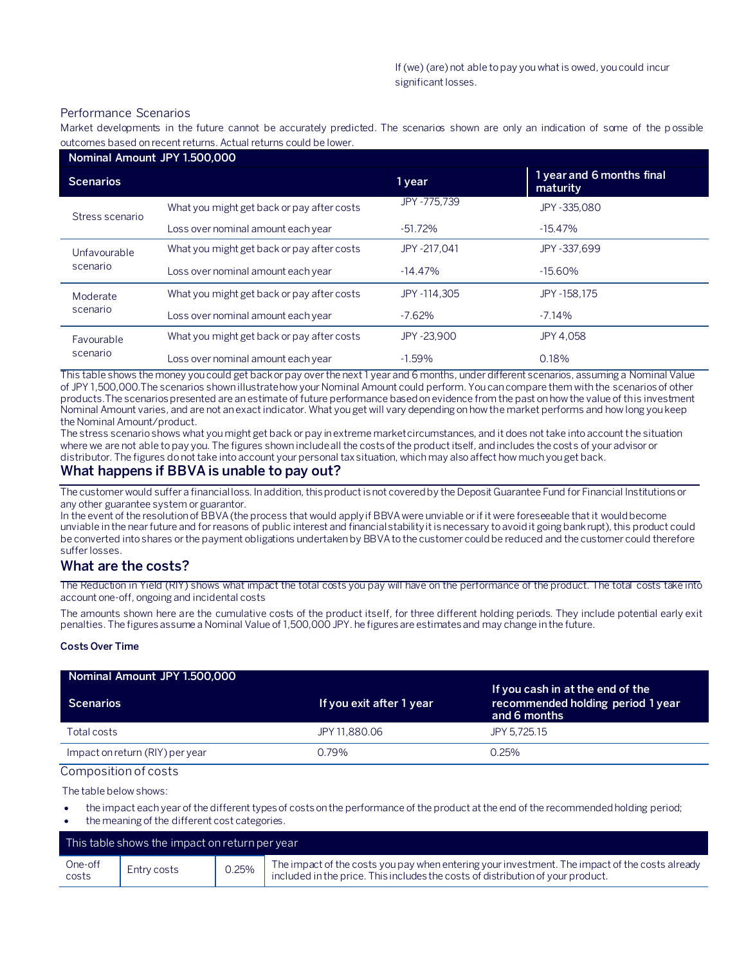#### Performance Scenarios

Market developments in the future cannot be accurately predicted. The scenarios shown are only an indication of some of the p ossible outcomes based on recent returns. Actual returns could be lower.

| Nominal Amount JPY 1.500,000 |                                            |              |                                       |
|------------------------------|--------------------------------------------|--------------|---------------------------------------|
| <b>Scenarios</b>             |                                            | 1 year       | 1 year and 6 months final<br>maturity |
| Stress scenario              | What you might get back or pay after costs | JPY-775.739  | JPY-335.080                           |
|                              | Loss over nominal amount each year         | $-51.72%$    | $-15.47\%$                            |
| Unfavourable<br>scenario     | What you might get back or pay after costs | JPY -217.041 | JPY -337.699                          |
|                              | Loss over nominal amount each year         | $-14.47\%$   | $-15.60%$                             |
| Moderate<br>scenario         | What you might get back or pay after costs | JPY-114.305  | JPY -158.175                          |
|                              | Loss over nominal amount each year         | $-7.62%$     | $-7.14%$                              |
| Favourable<br>scenario       | What you might get back or pay after costs | JPY-23.900   | JPY 4.058                             |
|                              | Loss over nominal amount each year         | $-1.59%$     | 0.18%                                 |

This table shows the money you could get back or pay over the next 1 year and 6 months, under different scenarios, assuming a Nominal Value of JPY 1,500,000.The scenarios shown illustrate how your Nominal Amount could perform. You can compare them with the scenarios of other products.The scenarios presented are an estimate of future performance based on evidence from the past on how the value of this investment Nominal Amount varies, and are not an exact indicator. What you get will vary depending on how the market performs and how long you keep the Nominal Amount/product.

The stress scenario shows what you might get back or pay in extreme market circumstances, and it does not take into account the situation where we are not able to pay you. The figures shown include all the costs of the product itself, and includes the costs of your advisor or distributor. The figures do not take into account your personal tax situation, which may also affect how much you get back.

## **What happens if BBVA is unable to pay out?**

The customer would suffer a financial loss. In addition, this product is not covered by the Deposit Guarantee Fund for Financial Institutions or any other guarantee system or guarantor.

In the event of the resolution of BBVA (the process that would apply if BBVA were unviable or if it were foreseeable that it would become unviable in the near future and for reasons of public interest and financial stability it is necessary to avoid it going bankrupt), this product could be converted into shares or the payment obligations undertaken by BBVA to the customer could be reduced and the customer could therefore suffer losses.

#### **What are the costs?**

The Reduction in Yield (RIY) shows what impact the total costs you pay will have on the performance of the product. The total costs take into account one-off, ongoing and incidental costs

The amounts shown here are the cumulative costs of the product itself, for three different holding periods. They include potential early exit penalties. The figures assume a Nominal Value of 1,500,000 JPY. he figures are estimates and may change in the future.

#### **Costs Over Time**

| Nominal Amount JPY 1.500,000    |                          |                                                                                       |
|---------------------------------|--------------------------|---------------------------------------------------------------------------------------|
| <b>Scenarios</b>                | If you exit after 1 year | If you cash in at the end of the<br>recommended holding period 1 year<br>and 6 months |
| Total costs                     | JPY 11.880.06            | JPY 5.725.15                                                                          |
| Impact on return (RIY) per year | 0.79%                    | $0.25\%$                                                                              |

Composition of costs

The table below shows:

- the impact each year of the different types of costs on the performance of the product at the end of the recommended holding period;
- the meaning of the different cost categories.

| This table shows the impact on return per year |             |       |                                                                                                                                                                                   |
|------------------------------------------------|-------------|-------|-----------------------------------------------------------------------------------------------------------------------------------------------------------------------------------|
| One-off<br>costs                               | Entry costs | 0.25% | The impact of the costs you pay when entering your investment. The impact of the costs already<br>included in the price. This includes the costs of distribution of your product. |